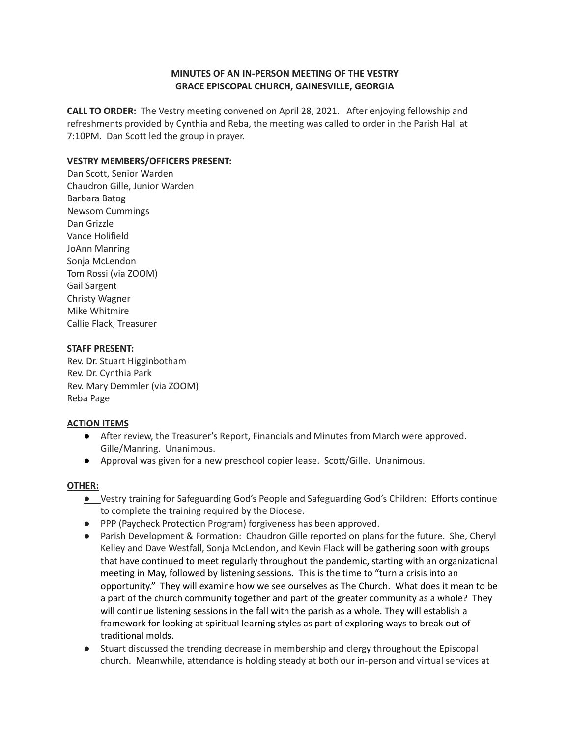# **MINUTES OF AN IN-PERSON MEETING OF THE VESTRY GRACE EPISCOPAL CHURCH, GAINESVILLE, GEORGIA**

**CALL TO ORDER:** The Vestry meeting convened on April 28, 2021. After enjoying fellowship and refreshments provided by Cynthia and Reba, the meeting was called to order in the Parish Hall at 7:10PM. Dan Scott led the group in prayer.

## **VESTRY MEMBERS/OFFICERS PRESENT:**

Dan Scott, Senior Warden Chaudron Gille, Junior Warden Barbara Batog Newsom Cummings Dan Grizzle Vance Holifield JoAnn Manring Sonja McLendon Tom Rossi (via ZOOM) Gail Sargent Christy Wagner Mike Whitmire Callie Flack, Treasurer

### **STAFF PRESENT:**

Rev. Dr. Stuart Higginbotham Rev. Dr. Cynthia Park Rev. Mary Demmler (via ZOOM) Reba Page

### **ACTION ITEMS**

- After review, the Treasurer's Report, Financials and Minutes from March were approved. Gille/Manring. Unanimous.
- Approval was given for a new preschool copier lease. Scott/Gille. Unanimous.

### **OTHER:**

- **●** Vestry training for Safeguarding God's People and Safeguarding God's Children: Efforts continue to complete the training required by the Diocese.
- PPP (Paycheck Protection Program) forgiveness has been approved.
- Parish Development & Formation: Chaudron Gille reported on plans for the future. She, Cheryl Kelley and Dave Westfall, Sonja McLendon, and Kevin Flack will be gathering soon with groups that have continued to meet regularly throughout the pandemic, starting with an organizational meeting in May, followed by listening sessions. This is the time to "turn a crisis into an opportunity." They will examine how we see ourselves as The Church. What does it mean to be a part of the church community together and part of the greater community as a whole? They will continue listening sessions in the fall with the parish as a whole. They will establish a framework for looking at spiritual learning styles as part of exploring ways to break out of traditional molds.
- Stuart discussed the trending decrease in membership and clergy throughout the Episcopal church. Meanwhile, attendance is holding steady at both our in-person and virtual services at